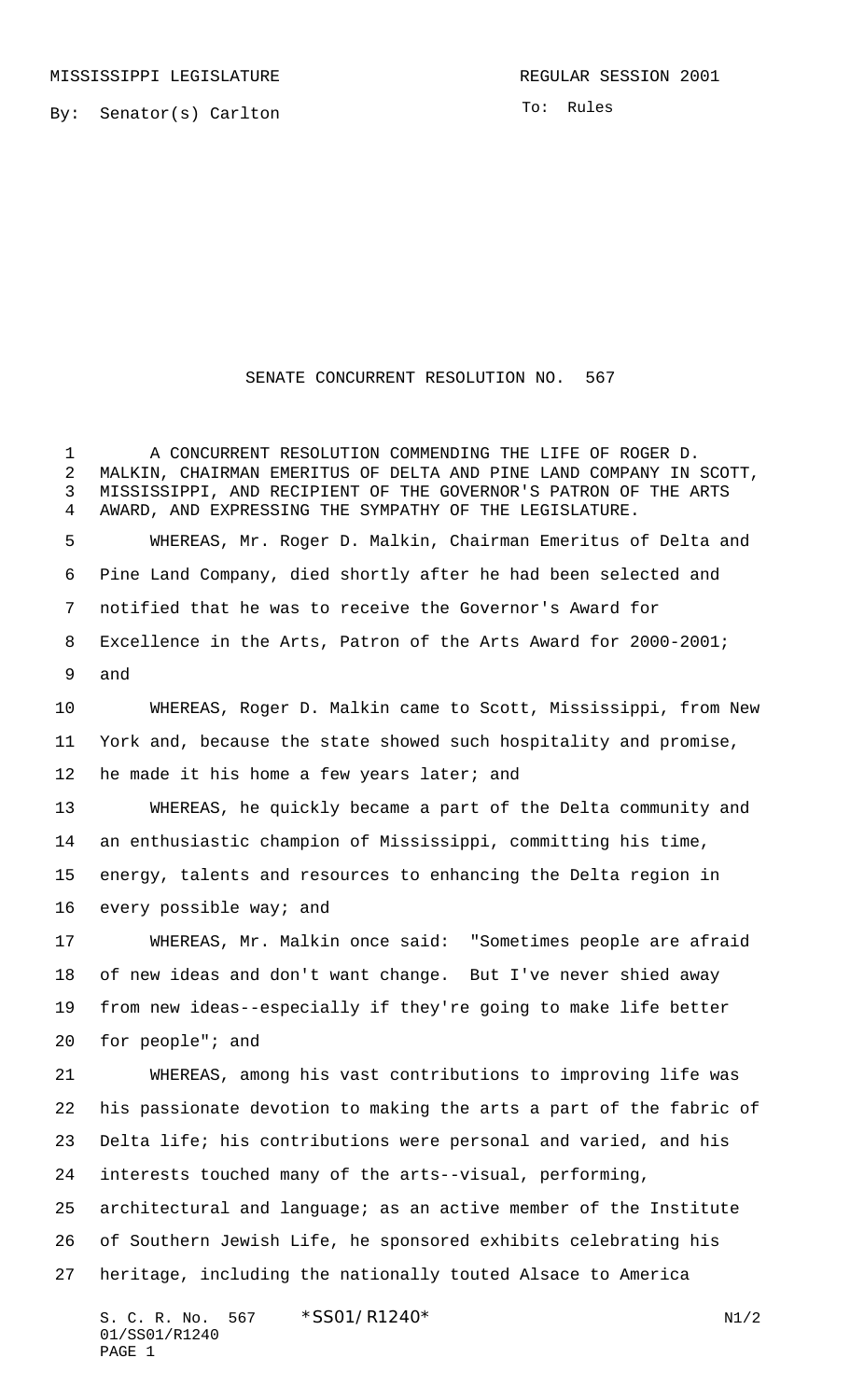By: Senator(s) Carlton

To: Rules

## SENATE CONCURRENT RESOLUTION NO. 567

A CONCURRENT RESOLUTION COMMENDING THE LIFE OF ROGER D.

 MALKIN, CHAIRMAN EMERITUS OF DELTA AND PINE LAND COMPANY IN SCOTT, MISSISSIPPI, AND RECIPIENT OF THE GOVERNOR'S PATRON OF THE ARTS AWARD, AND EXPRESSING THE SYMPATHY OF THE LEGISLATURE. WHEREAS, Mr. Roger D. Malkin, Chairman Emeritus of Delta and Pine Land Company, died shortly after he had been selected and notified that he was to receive the Governor's Award for Excellence in the Arts, Patron of the Arts Award for 2000-2001; and WHEREAS, Roger D. Malkin came to Scott, Mississippi, from New York and, because the state showed such hospitality and promise, 12 he made it his home a few years later; and WHEREAS, he quickly became a part of the Delta community and an enthusiastic champion of Mississippi, committing his time, energy, talents and resources to enhancing the Delta region in 16 every possible way; and WHEREAS, Mr. Malkin once said: "Sometimes people are afraid of new ideas and don't want change. But I've never shied away from new ideas--especially if they're going to make life better for people"; and WHEREAS, among his vast contributions to improving life was his passionate devotion to making the arts a part of the fabric of Delta life; his contributions were personal and varied, and his interests touched many of the arts--visual, performing, architectural and language; as an active member of the Institute of Southern Jewish Life, he sponsored exhibits celebrating his heritage, including the nationally touted Alsace to America

S. C. R. No. 567 \* SS01/R1240\* N1/2 01/SS01/R1240 PAGE 1